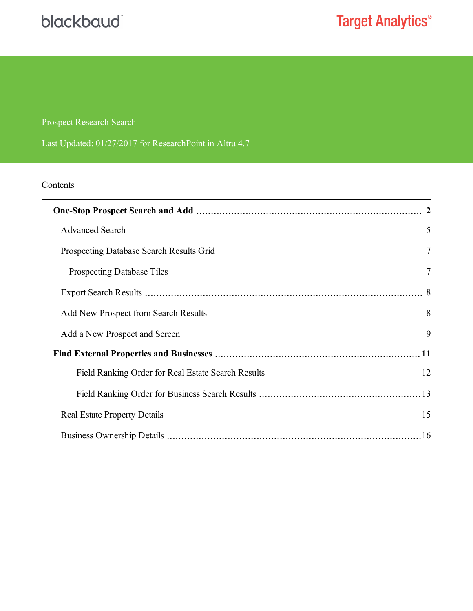## blackbaud

## **Target Analytics®**

#### Prospect Research Search

Last Updated: 01/27/2017 for ResearchPoint in Altru 4.7

#### Contents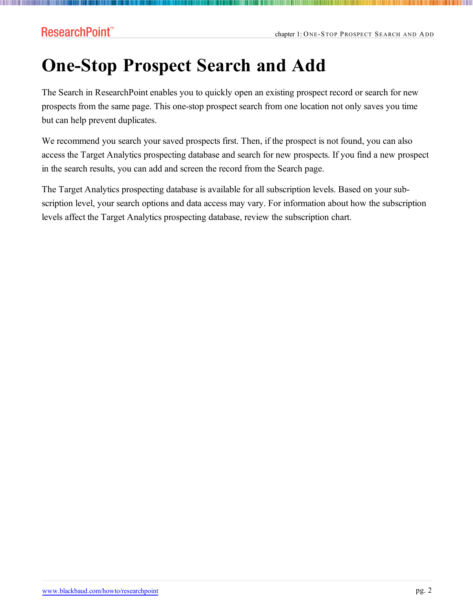III III

# <span id="page-1-0"></span>**One-Stop Prospect Search and Add**

The Search in ResearchPoint enables you to quickly open an existing prospect record or search for new prospects from the same page. This one-stop prospect search from one location not only saves you time but can help prevent duplicates.

We recommend you search your saved prospects first. Then, if the prospect is not found, you can also access the Target Analytics prospecting database and search for new prospects. If you find a new prospect in the search results, you can add and screen the record from the Search page.

The Target Analytics prospecting database is available for all subscription levels. Based on your subscription level, your search options and data access may vary. For information about how the subscription levels affect the Target Analytics prospecting database, review the subscription chart.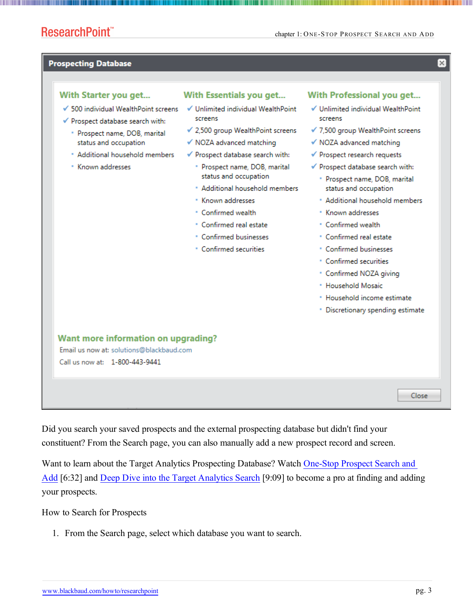$\overline{\mathbf{x}}$ 

#### **Prospecting Database**

#### With Starter you get... With Essentials you get... With Professional you get... √ Unlimited individual WealthPoint √ Unlimited individual WealthPoint ✔ 500 individual WealthPoint screens screens screens ✔ Prospect database search with: ✔ 2,500 group WealthPoint screens √ 7,500 group WealthPoint screens \* Prospect name, DOB, marital status and occupation √ NOZA advanced matching √ NOZA advanced matching \* Additional household members √ Prospect database search with: ✔ Prospect research requests \* Known addresses ✔ Prospect database search with: \* Prospect name, DOB, marital status and occupation \* Prospect name, DOB, marital \* Additional household members status and occupation · Known addresses \* Additional household members • Confirmed wealth \* Known addresses \* Confirmed real estate • Confirmed wealth • Confirmed businesses \* Confirmed real estate • Confirmed securities • Confirmed businesses • Confirmed securities \* Confirmed NOZA giving <sup>\*</sup> Household Mosaic \* Household income estimate · Discretionary spending estimate Want more information on upgrading? Email us now at: solutions@blackbaud.com Call us now at: 1-800-443-9441 Close

Did you search your saved prospects and the external prospecting database but didn't find your constituent? From the Search page, you can also manually add a new prospect record and screen.

Want to learn about the Target Analytics Prospecting Database? Watch [One-Stop](https://www.youtube.com/v/1HMKB-v7qNM?rel=0&vq=hd1080) Prospect Search and [Add](https://www.youtube.com/v/1HMKB-v7qNM?rel=0&vq=hd1080) [6:32] and Deep Dive into the Target [Analytics](https://www.youtube.com/v/pz1TBCgIJlo?rel=0&vq=hd1080) Search [9:09] to become a pro at finding and adding your prospects.

How to Search for Prospects

1. From the Search page, select which database you want to search.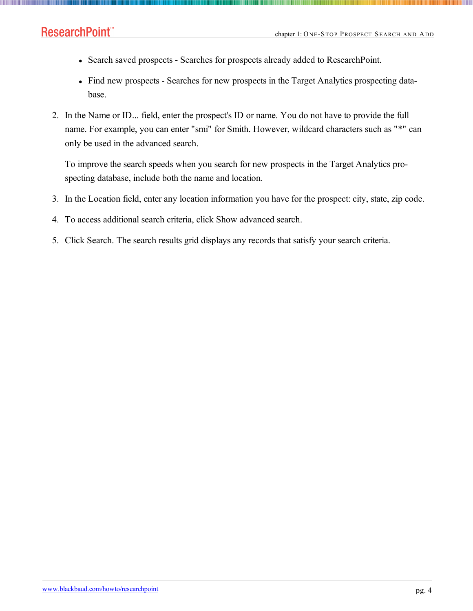**The Common** 

- Search saved prospects Searches for prospects already added to ResearchPoint.
- Find new prospects Searches for new prospects in the Target Analytics prospecting database.
- 2. In the Name or ID... field, enter the prospect's ID or name. You do not have to provide the full name. For example, you can enter "smi" for Smith. However, wildcard characters such as "\*" can only be used in the advanced search.

To improve the search speeds when you search for new prospects in the Target Analytics prospecting database, include both the name and location.

- 3. In the Location field, enter any location information you have for the prospect: city, state, zip code.
- 4. To access additional search criteria, click Show advanced search.
- 5. Click Search. The search results grid displays any records that satisfy your search criteria.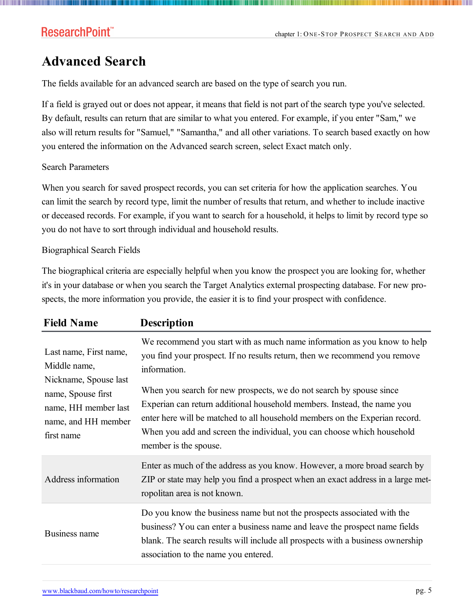### <span id="page-4-0"></span>**Advanced Search**

The fields available for an advanced search are based on the type of search you run.

If a field is grayed out or does not appear, it means that field is not part of the search type you've selected. By default, results can return that are similar to what you entered. For example, if you enter "Sam," we also will return results for "Samuel," "Samantha," and all other variations. To search based exactly on how you entered the information on the Advanced search screen, select Exact match only.

#### Search Parameters

When you search for saved prospect records, you can set criteria for how the application searches. You can limit the search by record type, limit the number of results that return, and whether to include inactive or deceased records. For example, if you want to search for a household, it helps to limit by record type so you do not have to sort through individual and household results.

#### Biographical Search Fields

The biographical criteria are especially helpful when you know the prospect you are looking for, whether it's in your database or when you search the Target Analytics external prospecting database. For new prospects, the more information you provide, the easier it is to find your prospect with confidence.

| <b>Field Name</b>                                                                                                                                  | <b>Description</b>                                                                                                                                                                                                                                                                                                                                                                                                                                                                                         |  |  |
|----------------------------------------------------------------------------------------------------------------------------------------------------|------------------------------------------------------------------------------------------------------------------------------------------------------------------------------------------------------------------------------------------------------------------------------------------------------------------------------------------------------------------------------------------------------------------------------------------------------------------------------------------------------------|--|--|
| Last name, First name,<br>Middle name,<br>Nickname, Spouse last<br>name, Spouse first<br>name, HH member last<br>name, and HH member<br>first name | We recommend you start with as much name information as you know to help<br>you find your prospect. If no results return, then we recommend you remove<br>information.<br>When you search for new prospects, we do not search by spouse since<br>Experian can return additional household members. Instead, the name you<br>enter here will be matched to all household members on the Experian record.<br>When you add and screen the individual, you can choose which household<br>member is the spouse. |  |  |
| Address information                                                                                                                                | Enter as much of the address as you know. However, a more broad search by<br>ZIP or state may help you find a prospect when an exact address in a large met-<br>ropolitan area is not known.                                                                                                                                                                                                                                                                                                               |  |  |
| Business name                                                                                                                                      | Do you know the business name but not the prospects associated with the<br>business? You can enter a business name and leave the prospect name fields<br>blank. The search results will include all prospects with a business ownership<br>association to the name you entered.                                                                                                                                                                                                                            |  |  |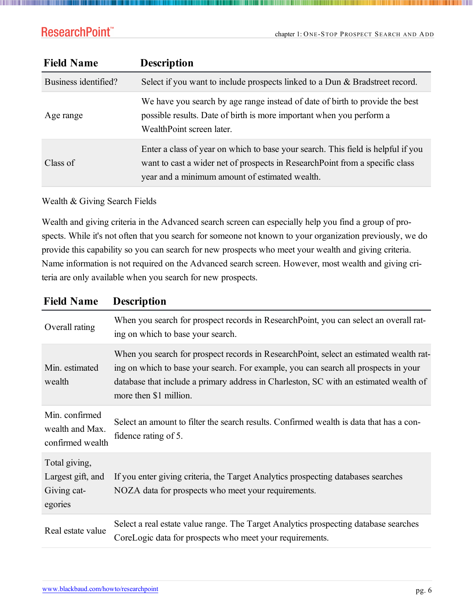| <b>Field Name</b>    | <b>Description</b>                                                                                                                                                                                                  |
|----------------------|---------------------------------------------------------------------------------------------------------------------------------------------------------------------------------------------------------------------|
| Business identified? | Select if you want to include prospects linked to a Dun & Bradstreet record.                                                                                                                                        |
| Age range            | We have you search by age range instead of date of birth to provide the best<br>possible results. Date of birth is more important when you perform a<br>WealthPoint screen later.                                   |
| Class of             | Enter a class of year on which to base your search. This field is helpful if you<br>want to cast a wider net of prospects in Research Point from a specific class<br>year and a minimum amount of estimated wealth. |

Wealth & Giving Search Fields

Wealth and giving criteria in the Advanced search screen can especially help you find a group of prospects. While it's not often that you search for someone not known to your organization previously, we do provide this capability so you can search for new prospects who meet your wealth and giving criteria. Name information is not required on the Advanced search screen. However, most wealth and giving criteria are only available when you search for new prospects.

| <b>Field Name</b>                                            | <b>Description</b>                                                                                                                                                                                                                                                                               |  |  |  |  |
|--------------------------------------------------------------|--------------------------------------------------------------------------------------------------------------------------------------------------------------------------------------------------------------------------------------------------------------------------------------------------|--|--|--|--|
| Overall rating                                               | When you search for prospect records in ResearchPoint, you can select an overall rat-<br>ing on which to base your search.                                                                                                                                                                       |  |  |  |  |
| Min. estimated<br>wealth                                     | When you search for prospect records in ResearchPoint, select an estimated wealth rat-<br>ing on which to base your search. For example, you can search all prospects in your<br>database that include a primary address in Charleston, SC with an estimated wealth of<br>more then \$1 million. |  |  |  |  |
| Min. confirmed<br>wealth and Max.<br>confirmed wealth        | Select an amount to filter the search results. Confirmed wealth is data that has a con-<br>fidence rating of 5.                                                                                                                                                                                  |  |  |  |  |
| Total giving,<br>Largest gift, and<br>Giving cat-<br>egories | If you enter giving criteria, the Target Analytics prospecting databases searches<br>NOZA data for prospects who meet your requirements.                                                                                                                                                         |  |  |  |  |
| Real estate value                                            | Select a real estate value range. The Target Analytics prospecting database searches<br>CoreLogic data for prospects who meet your requirements.                                                                                                                                                 |  |  |  |  |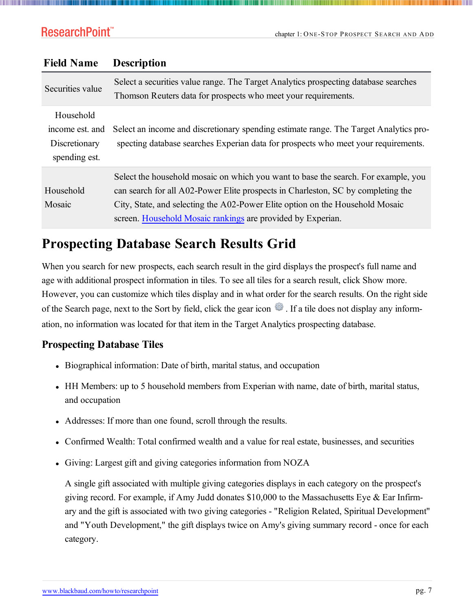| Securities value                                               | Select a securities value range. The Target Analytics prospecting database searches<br>Thomson Reuters data for prospects who meet your requirements.                                                                                                                                                                  |
|----------------------------------------------------------------|------------------------------------------------------------------------------------------------------------------------------------------------------------------------------------------------------------------------------------------------------------------------------------------------------------------------|
| Household<br>income est. and<br>Discretionary<br>spending est. | Select an income and discretionary spending estimate range. The Target Analytics pro-<br>specting database searches Experian data for prospects who meet your requirements.                                                                                                                                            |
| Household<br>Mosaic                                            | Select the household mosaic on which you want to base the search. For example, you<br>can search for all A02-Power Elite prospects in Charleston, SC by completing the<br>City, State, and selecting the A02-Power Elite option on the Household Mosaic<br>screen. Household Mosaic rankings are provided by Experian. |

### **Field Name Description**

### <span id="page-6-0"></span>**Prospecting Database Search Results Grid**

When you search for new prospects, each search result in the gird displays the prospect's full name and age with additional prospect information in tiles. To see all tiles for a search result, click Show more. However, you can customize which tiles display and in what order for the search results. On the right side of the Search page, next to the Sort by field, click the gear icon . If a tile does not display any information, no information was located for that item in the Target Analytics prospecting database.

#### <span id="page-6-1"></span>**Prospecting Database Tiles**

- Biographical information: Date of birth, marital status, and occupation
- HH Members: up to 5 household members from Experian with name, date of birth, marital status, and occupation
- Addresses: If more than one found, scroll through the results.
- Confirmed Wealth: Total confirmed wealth and a value for real estate, businesses, and securities
- Giving: Largest gift and giving categories information from NOZA

A single gift associated with multiple giving categories displays in each category on the prospect's giving record. For example, if Amy Judd donates \$10,000 to the Massachusetts Eye & Ear Infirmary and the gift is associated with two giving categories - "Religion Related, Spiritual Development" and "Youth Development," the gift displays twice on Amy's giving summary record - once for each category.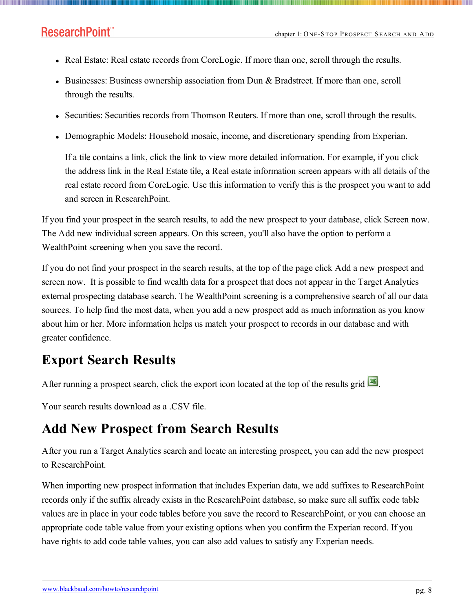- Real Estate: Real estate records from CoreLogic. If more than one, scroll through the results.
- Businesses: Business ownership association from Dun & Bradstreet. If more than one, scroll through the results.
- Securities: Securities records from Thomson Reuters. If more than one, scroll through the results.
- Demographic Models: Household mosaic, income, and discretionary spending from Experian.

If a tile contains a link, click the link to view more detailed information. For example, if you click the address link in the Real Estate tile, a Real estate information screen appears with all details of the real estate record from CoreLogic. Use this information to verify this is the prospect you want to add and screen in ResearchPoint.

If you find your prospect in the search results, to add the new prospect to your database, click Screen now. The Add new individual screen appears. On this screen, you'll also have the option to perform a WealthPoint screening when you save the record.

If you do not find your prospect in the search results, at the top of the page click Add a new prospect and screen now. It is possible to find wealth data for a prospect that does not appear in the Target Analytics external prospecting database search. The WealthPoint screening is a comprehensive search of all our data sources. To help find the most data, when you add a new prospect add as much information as you know about him or her. More information helps us match your prospect to records in our database and with greater confidence.

### <span id="page-7-0"></span>**Export Search Results**

After running a prospect search, click the export icon located at the top of the results grid **...** 

<span id="page-7-1"></span>Your search results download as a .CSV file.

### **Add New Prospect from Search Results**

After you run a Target Analytics search and locate an interesting prospect, you can add the new prospect to ResearchPoint.

When importing new prospect information that includes Experian data, we add suffixes to ResearchPoint records only if the suffix already exists in the ResearchPoint database, so make sure all suffix code table values are in place in your code tables before you save the record to ResearchPoint, or you can choose an appropriate code table value from your existing options when you confirm the Experian record. If you have rights to add code table values, you can also add values to satisfy any Experian needs.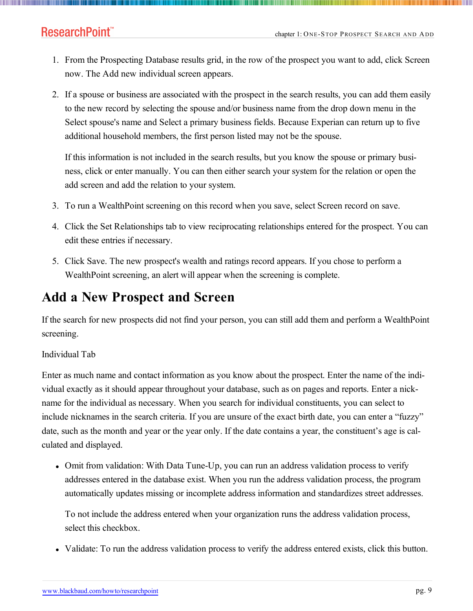- 1. From the Prospecting Database results grid, in the row of the prospect you want to add, click Screen now. The Add new individual screen appears.
- 2. If a spouse or business are associated with the prospect in the search results, you can add them easily to the new record by selecting the spouse and/or business name from the drop down menu in the Select spouse's name and Select a primary business fields. Because Experian can return up to five additional household members, the first person listed may not be the spouse.

If this information is not included in the search results, but you know the spouse or primary business, click or enter manually. You can then either search your system for the relation or open the add screen and add the relation to your system.

- 3. To run a WealthPoint screening on this record when you save, select Screen record on save.
- 4. Click the Set Relationships tab to view reciprocating relationships entered for the prospect. You can edit these entries if necessary.
- 5. Click Save. The new prospect's wealth and ratings record appears. If you chose to perform a WealthPoint screening, an alert will appear when the screening is complete.

### <span id="page-8-0"></span>**Add a New Prospect and Screen**

If the search for new prospects did not find your person, you can still add them and perform a WealthPoint screening.

#### Individual Tab

Enter as much name and contact information as you know about the prospect. Enter the name of the individual exactly as it should appear throughout your database, such as on pages and reports. Enter a nickname for the individual as necessary. When you search for individual constituents, you can select to include nicknames in the search criteria. If you are unsure of the exact birth date, you can enter a "fuzzy" date, such as the month and year or the year only. If the date contains a year, the constituent's age is calculated and displayed.

• Omit from validation: With Data Tune-Up, you can run an address validation process to verify addresses entered in the database exist. When you run the address validation process, the program automatically updates missing or incomplete address information and standardizes street addresses.

To not include the address entered when your organization runs the address validation process, select this checkbox.

• Validate: To run the address validation process to verify the address entered exists, click this button.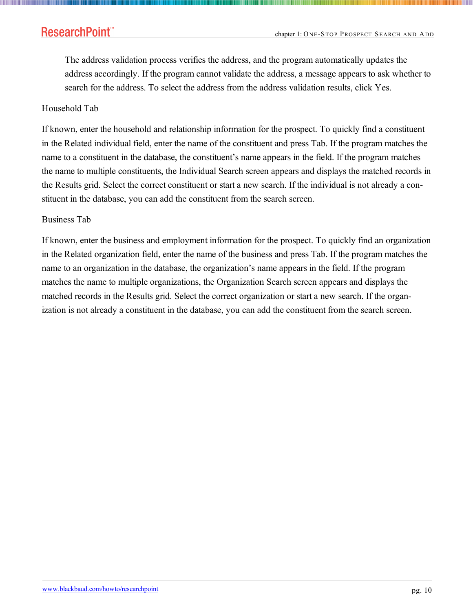The address validation process verifies the address, and the program automatically updates the address accordingly. If the program cannot validate the address, a message appears to ask whether to search for the address. To select the address from the address validation results, click Yes.

#### Household Tab

If known, enter the household and relationship information for the prospect. To quickly find a constituent in the Related individual field, enter the name of the constituent and press Tab. If the program matches the name to a constituent in the database, the constituent's name appears in the field. If the program matches the name to multiple constituents, the Individual Search screen appears and displays the matched records in the Results grid. Select the correct constituent or start a new search. If the individual is not already a constituent in the database, you can add the constituent from the search screen.

#### Business Tab

If known, enter the business and employment information for the prospect. To quickly find an organization in the Related organization field, enter the name of the business and press Tab. If the program matches the name to an organization in the database, the organization's name appears in the field. If the program matches the name to multiple organizations, the Organization Search screen appears and displays the matched records in the Results grid. Select the correct organization or start a new search. If the organization is not already a constituent in the database, you can add the constituent from the search screen.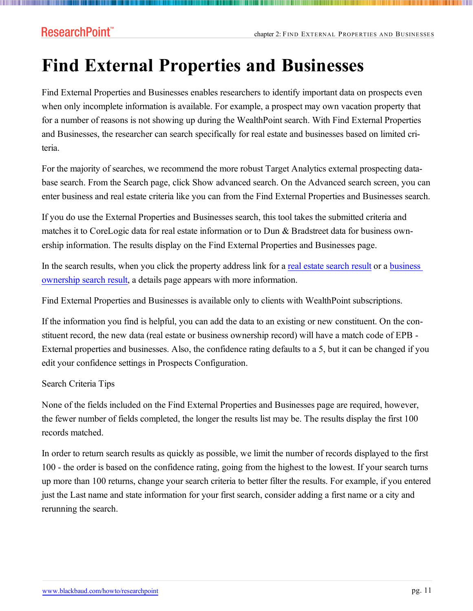# <span id="page-10-0"></span>**Find External Properties and Businesses**

Find External Properties and Businesses enables researchers to identify important data on prospects even when only incomplete information is available. For example, a prospect may own vacation property that for a number of reasons is not showing up during the WealthPoint search. With Find External Properties and Businesses, the researcher can search specifically for real estate and businesses based on limited criteria.

For the majority of searches, we recommend the more robust Target Analytics external prospecting database search. From the Search page, click Show advanced search. On the Advanced search screen, you can enter business and real estate criteria like you can from the Find External Properties and Businesses search.

If you do use the External Properties and Businesses search, this tool takes the submitted criteria and matches it to CoreLogic data for real estate information or to Dun & Bradstreet data for business ownership information. The results display on the Find External Properties and Businesses page.

In the search results, when you click the property address link for a real estate [search](#page-14-0) result or a [business](#page-15-0) [ownership](#page-15-0) search result, a details page appears with more information.

Find External Properties and Businesses is available only to clients with WealthPoint subscriptions.

If the information you find is helpful, you can add the data to an existing or new constituent. On the constituent record, the new data (real estate or business ownership record) will have a match code of EPB - External properties and businesses. Also, the confidence rating defaults to a 5, but it can be changed if you edit your confidence settings in Prospects Configuration.

#### Search Criteria Tips

None of the fields included on the Find External Properties and Businesses page are required, however, the fewer number of fields completed, the longer the results list may be. The results display the first 100 records matched.

In order to return search results as quickly as possible, we limit the number of records displayed to the first 100 - the order is based on the confidence rating, going from the highest to the lowest. If your search turns up more than 100 returns, change your search criteria to better filter the results. For example, if you entered just the Last name and state information for your first search, consider adding a first name or a city and rerunning the search.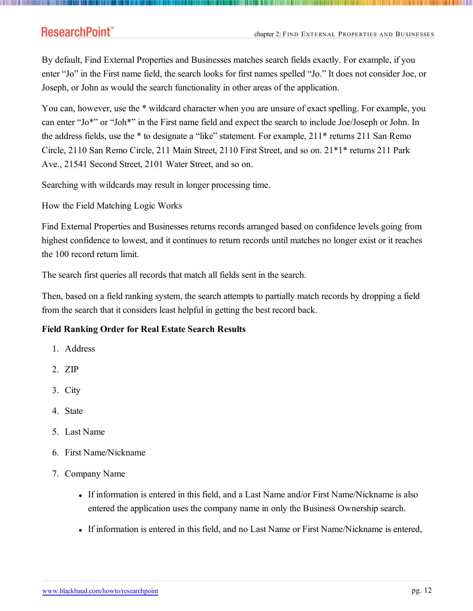### ResearchPoint<sup>™</sup>

By default, Find External Properties and Businesses matches search fields exactly. For example, if you enter "Jo" in the First name field, the search looks for first names spelled "Jo." It does not consider Joe, or Joseph, or John as would the search functionality in other areas of the application.

You can, however, use the \* wildcard character when you are unsure of exact spelling. For example, you can enter "Jo\*" or "Joh\*" in the First name field and expect the search to include Joe/Joseph or John. In the address fields, use the \* to designate a "like" statement. For example, 211\* returns 211 San Remo Circle, 2110 San Remo Circle, 211 Main Street, 2110 First Street, and so on. 21\*1\* returns 211 Park Ave., 21541 Second Street, 2101 Water Street, and so on.

Searching with wildcards may result in longer processing time.

How the Field Matching Logic Works

Find External Properties and Businesses returns records arranged based on confidence levels going from highest confidence to lowest, and it continues to return records until matches no longer exist or it reaches the 100 record return limit.

The search first queries all records that match all fields sent in the search.

Then, based on a field ranking system, the search attempts to partially match records by dropping a field from the search that it considers least helpful in getting the best record back.

#### <span id="page-11-0"></span>**Field Ranking Order for Real Estate Search Results**

- 1. Address
- 2. ZIP
- 3. City
- 4. State
- 5. Last Name
- 6. First Name/Nickname
- 7. Company Name
	- If information is entered in this field, and a Last Name and/or First Name/Nickname is also entered the application uses the company name in only the Business Ownership search.
	- If information is entered in this field, and no Last Name or First Name/Nickname is entered,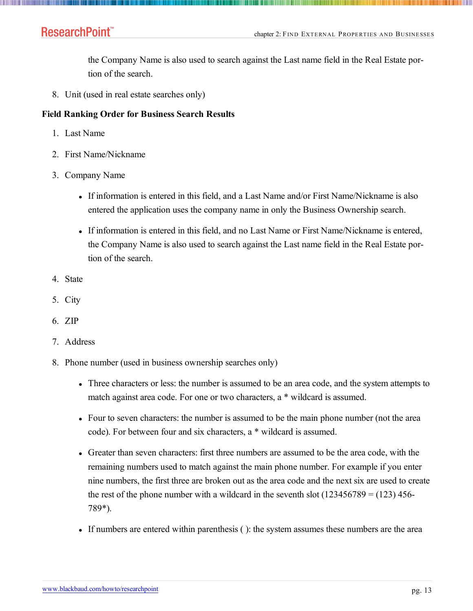### ResearchPoint<sup>™</sup>

the Company Name is also used to search against the Last name field in the Real Estate portion of the search.

8. Unit (used in real estate searches only)

#### <span id="page-12-0"></span>**Field Ranking Order for Business Search Results**

- 1. Last Name
- 2. First Name/Nickname
- 3. Company Name
	- If information is entered in this field, and a Last Name and/or First Name/Nickname is also entered the application uses the company name in only the Business Ownership search.
	- If information is entered in this field, and no Last Name or First Name/Nickname is entered, the Company Name is also used to search against the Last name field in the Real Estate portion of the search.
- 4. State
- 5. City
- 6. ZIP
- 7. Address
- 8. Phone number (used in business ownership searches only)
	- Three characters or less: the number is assumed to be an area code, and the system attempts to match against area code. For one or two characters, a \* wildcard is assumed.
	- Four to seven characters: the number is assumed to be the main phone number (not the area code). For between four and six characters, a \* wildcard is assumed.
	- Greater than seven characters: first three numbers are assumed to be the area code, with the remaining numbers used to match against the main phone number. For example if you enter nine numbers, the first three are broken out as the area code and the next six are used to create the rest of the phone number with a wildcard in the seventh slot  $(123456789 = (123) 456$ -789\*).
	- If numbers are entered within parenthesis ( ): the system assumes these numbers are the area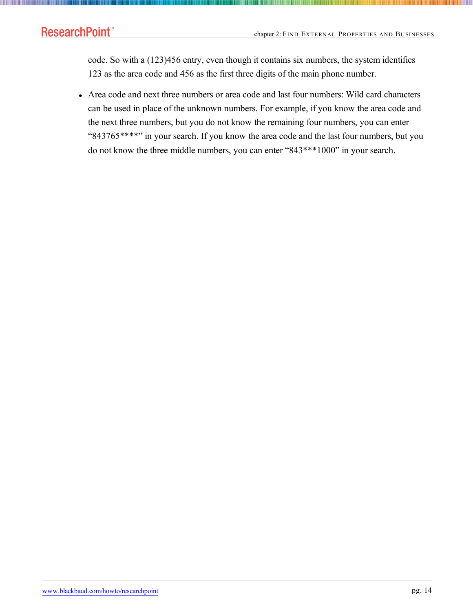**TILLIN** 

code. So with a (123)456 entry, even though it contains six numbers, the system identifies 123 as the area code and 456 as the first three digits of the main phone number.

• Area code and next three numbers or area code and last four numbers: Wild card characters can be used in place of the unknown numbers. For example, if you know the area code and the next three numbers, but you do not know the remaining four numbers, you can enter "843765\*\*\*\*" in your search. If you know the area code and the last four numbers, but you do not know the three middle numbers, you can enter "843\*\*\*1000" in your search.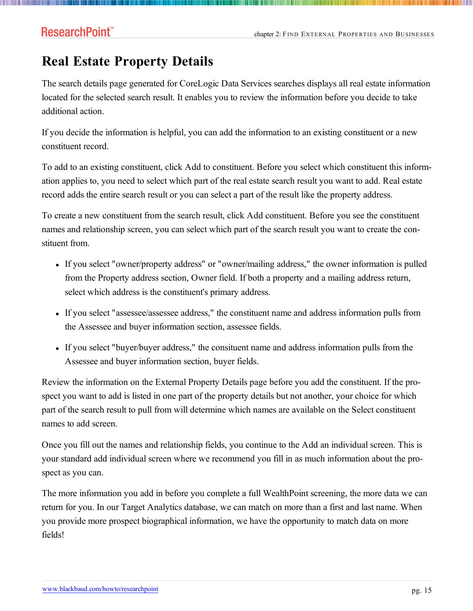### <span id="page-14-0"></span>**Real Estate Property Details**

The search details page generated for CoreLogic Data Services searches displays all real estate information located for the selected search result. It enables you to review the information before you decide to take additional action.

If you decide the information is helpful, you can add the information to an existing constituent or a new constituent record.

To add to an existing constituent, click Add to constituent. Before you select which constituent this information applies to, you need to select which part of the real estate search result you want to add. Real estate record adds the entire search result or you can select a part of the result like the property address.

To create a new constituent from the search result, click Add constituent. Before you see the constituent names and relationship screen, you can select which part of the search result you want to create the constituent from.

- If you select "owner/property address" or "owner/mailing address," the owner information is pulled from the Property address section, Owner field. If both a property and a mailing address return, select which address is the constituent's primary address.
- If you select "assessee/assessee address," the constituent name and address information pulls from the Assessee and buyer information section, assessee fields.
- If you select "buyer/buyer address," the consituent name and address information pulls from the Assessee and buyer information section, buyer fields.

Review the information on the External Property Details page before you add the constituent. If the prospect you want to add is listed in one part of the property details but not another, your choice for which part of the search result to pull from will determine which names are available on the Select constituent names to add screen.

Once you fill out the names and relationship fields, you continue to the Add an individual screen. This is your standard add individual screen where we recommend you fill in as much information about the prospect as you can.

The more information you add in before you complete a full WealthPoint screening, the more data we can return for you. In our Target Analytics database, we can match on more than a first and last name. When you provide more prospect biographical information, we have the opportunity to match data on more fields!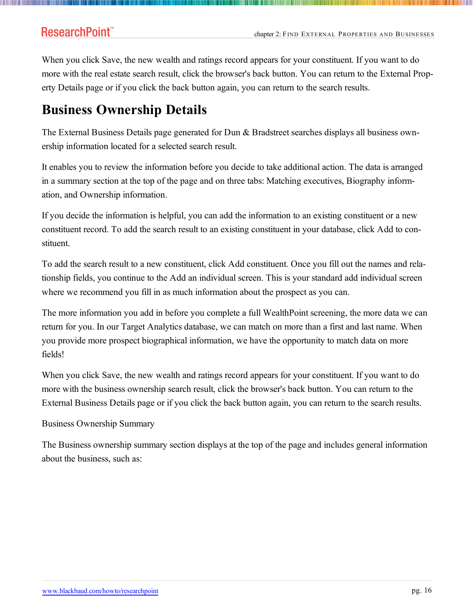When you click Save, the new wealth and ratings record appears for your constituent. If you want to do more with the real estate search result, click the browser's back button. You can return to the External Property Details page or if you click the back button again, you can return to the search results.

### <span id="page-15-0"></span>**Business Ownership Details**

The External Business Details page generated for Dun & Bradstreet searches displays all business ownership information located for a selected search result.

It enables you to review the information before you decide to take additional action. The data is arranged in a summary section at the top of the page and on three tabs: Matching executives, Biography information, and Ownership information.

If you decide the information is helpful, you can add the information to an existing constituent or a new constituent record. To add the search result to an existing constituent in your database, click Add to constituent.

To add the search result to a new constituent, click Add constituent. Once you fill out the names and relationship fields, you continue to the Add an individual screen. This is your standard add individual screen where we recommend you fill in as much information about the prospect as you can.

The more information you add in before you complete a full WealthPoint screening, the more data we can return for you. In our Target Analytics database, we can match on more than a first and last name. When you provide more prospect biographical information, we have the opportunity to match data on more fields!

When you click Save, the new wealth and ratings record appears for your constituent. If you want to do more with the business ownership search result, click the browser's back button. You can return to the External Business Details page or if you click the back button again, you can return to the search results.

#### Business Ownership Summary

The Business ownership summary section displays at the top of the page and includes general information about the business, such as: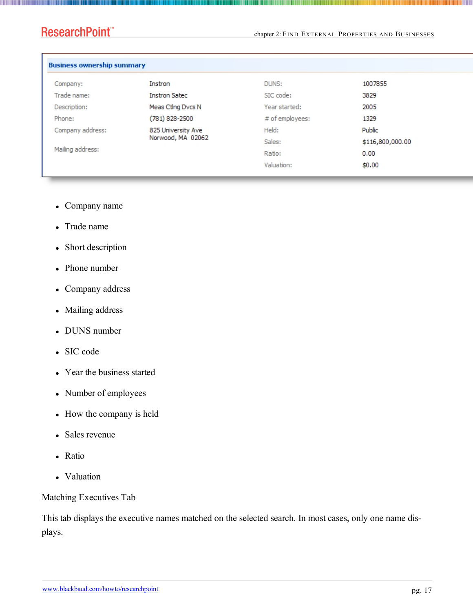**The Common** 

chapter 2: FIND EXTERNAL PROPERTIES AND BUSINESSES

- Company name
- Trade name
- Short description
- $\bullet$  Phone number
- Company address
- Mailing address
- DUNS number
- SIC code
- Year the business started
- Number of employees
- How the company is held
- Sales revenue
- Ratio
- Valuation

Matching Executives Tab

This tab displays the executive names matched on the selected search. In most cases, only one name displays.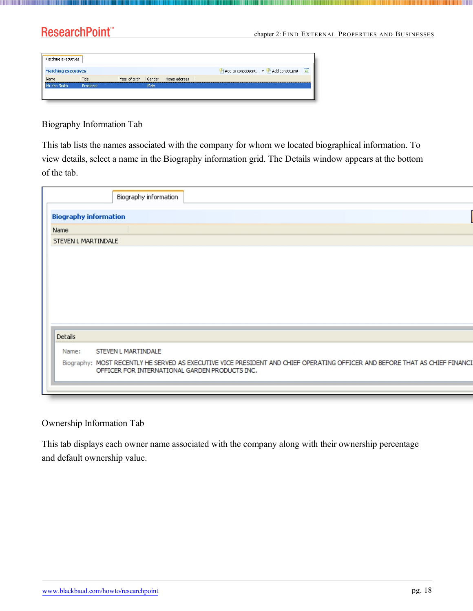### ResearchPoint<sup>\*\*</sup>

**The Common** 

chapter 2: FIND EXTERNAL PROPERTIES AND BUSINESSES

| Matching executives        |           |      |                                   |                                           |
|----------------------------|-----------|------|-----------------------------------|-------------------------------------------|
| <b>Matching executives</b> |           |      |                                   | 同<br>Add to constituent . Add constituent |
| Name                       | Title     |      | Year of birth Gender Home address |                                           |
| Mr Ken Smith               | President | Male |                                   |                                           |
|                            |           |      |                                   |                                           |

Biography Information Tab

This tab lists the names associated with the company for whom we located biographical information. To view details, select a name in the Biography information grid. The Details window appears at the bottom of the tab.

| Biography information                                                                                                       |
|-----------------------------------------------------------------------------------------------------------------------------|
| <b>Biography information</b>                                                                                                |
| Name                                                                                                                        |
| STEVEN L MARTINDALE                                                                                                         |
|                                                                                                                             |
|                                                                                                                             |
|                                                                                                                             |
|                                                                                                                             |
|                                                                                                                             |
|                                                                                                                             |
|                                                                                                                             |
| Details                                                                                                                     |
| STEVEN L MARTINDALE<br>Name:                                                                                                |
| Biography: MOST RECENTLY HE SERVED AS EXECUTIVE VICE PRESIDENT AND CHIEF OPERATING OFFICER AND BEFORE THAT AS CHIEF FINANC. |
| OFFICER FOR INTERNATIONAL GARDEN PRODUCTS INC.                                                                              |
|                                                                                                                             |
|                                                                                                                             |

#### Ownership Information Tab

This tab displays each owner name associated with the company along with their ownership percentage and default ownership value.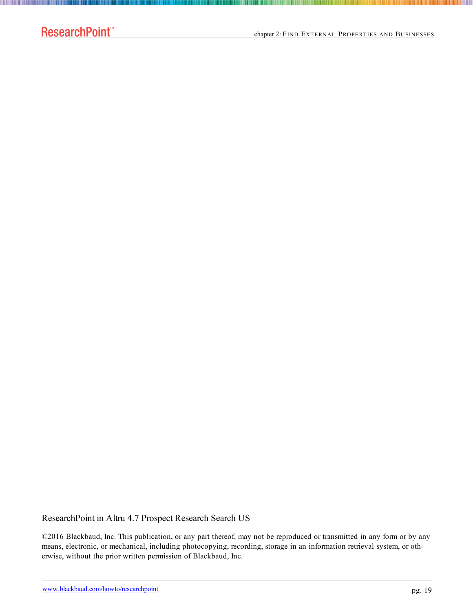**The Committee of the Committee** 

#### ResearchPoint in Altru 4.7 Prospect Research Search US

©2016 Blackbaud, Inc. This publication, or any part thereof, may not be reproduced or transmitted in any form or by any means, electronic, or mechanical, including photocopying, recording, storage in an information retrieval system, or otherwise, without the prior written permission of Blackbaud, Inc.